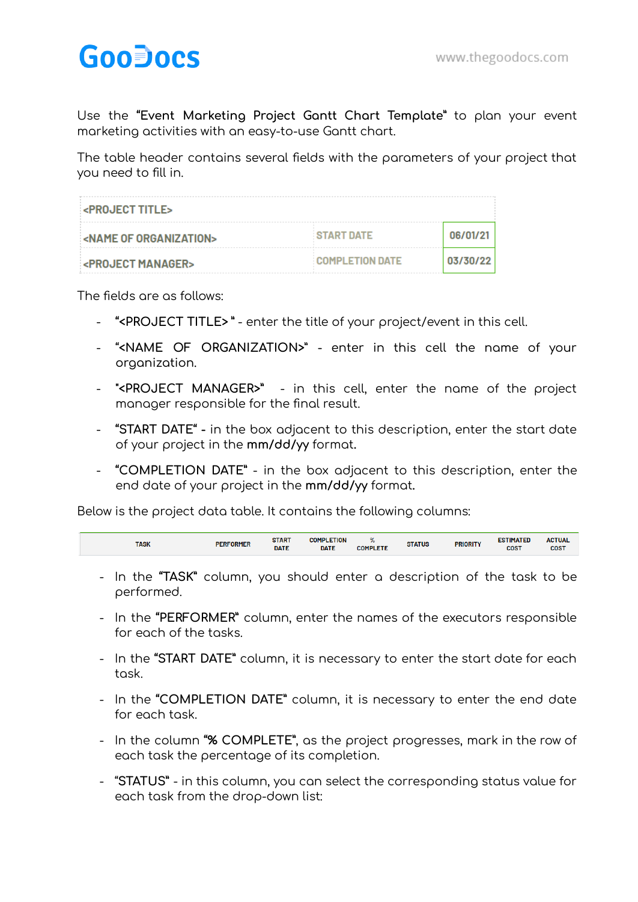## **GooDocs**

Use the **"Event Marketing Project Gantt Chart Template"** to plan your event marketing activities with an easy-to-use Gantt chart.

The table header contains several fields with the parameters of your project that you need to fill in.

| <b>EXPROJECT TITLES</b>       |                        |          |
|-------------------------------|------------------------|----------|
| <b>EXAME OF ORGANIZATIONS</b> | <b>START DATE</b>      | 06/01/21 |
| <b>EXPROJECT MANAGERS</b>     | <b>COMPLETION DATE</b> | 03/30/22 |

The fields are as follows:

- **"<PROJECT TITLE> "** enter the title of your project/event in this cell.
- "**<NAME OF ORGANIZATION>**" enter in this cell the name of your organization.
- **"<PROJECT MANAGER>"** in this cell, enter the name of the project manager responsible for the final result.
- **"START DATE" -** in the box adjacent to this description, enter the start date of your project in the **mm/dd/yy** format**.**
- **"COMPLETION DATE"** in the box adjacent to this description, enter the end date of your project in the **mm/dd/yy** format**.**

Below is the project data table. It contains the following columns:

| <b>PERFORMER</b><br><b>COST</b><br><b>COST</b><br><b>DATE</b><br><b>DATE</b><br><b>COMPLETE</b> | TASK | <b>START</b> | ETION<br>COMP | 70 | <b>STATUS</b> | <b>PRIORITY</b> | <b>TIMATEL</b><br>-- | <b>ACTUAL</b> |
|-------------------------------------------------------------------------------------------------|------|--------------|---------------|----|---------------|-----------------|----------------------|---------------|
|-------------------------------------------------------------------------------------------------|------|--------------|---------------|----|---------------|-----------------|----------------------|---------------|

- In the **"TASK"** column, you should enter a description of the task to be performed.
- In the **"PERFORMER"** column, enter the names of the executors responsible for each of the tasks.
- In the **"START DATE"** column, it is necessary to enter the start date for each task.
- In the **"COMPLETION DATE"** column, it is necessary to enter the end date for each task.
- In the column **"% COMPLETE"**, as the project progresses, mark in the row of each task the percentage of its completion.
- "**STATUS"** in this column, you can select the corresponding status value for each task from the drop-down list: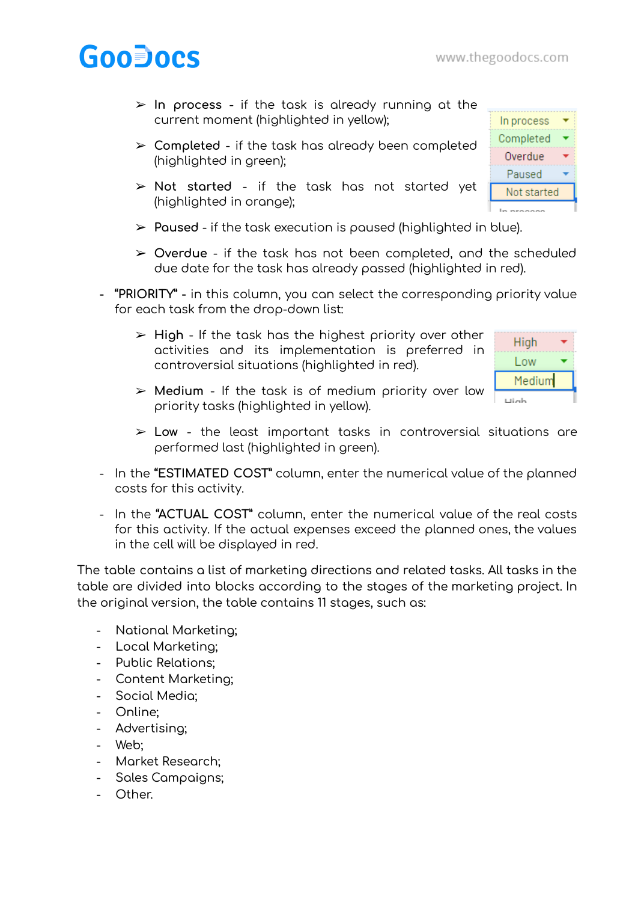In process Completed Overdue Paused Not started

# **GooDocs**

- ➢ **In process** if the task is already running at the current moment (highlighted in yellow);
- ➢ **Completed** if the task has already been completed (highlighted in green);
- ➢ **Not started** if the task has not started yet (highlighted in orange);
- ➢ **Paused** if the task execution is paused (highlighted in blue).
- ➢ **Overdue** if the task has not been completed, and the scheduled due date for the task has already passed (highlighted in red).
- **- "PRIORITY" -** in this column, you can select the corresponding priority value for each task from the drop-down list:
	- ➢ **High** If the task has the highest priority over other activities and its implementation is preferred in controversial situations (highlighted in red).

| High        |  |
|-------------|--|
| Low         |  |
| Medium      |  |
| <b>Limb</b> |  |

- ➢ **Medium** If the task is of medium priority over low priority tasks (highlighted in yellow).
- ➢ **Low** the least important tasks in controversial situations are performed last (highlighted in green).
- In the **"ESTIMATED COST"** column, enter the numerical value of the planned costs for this activity.
- In the **"ACTUAL COST"** column, enter the numerical value of the real costs for this activity. If the actual expenses exceed the planned ones, the values in the cell will be displayed in red.

The table contains a list of marketing directions and related tasks. All tasks in the table are divided into blocks according to the stages of the marketing project. In the original version, the table contains 11 stages, such as:

- National Marketing;
- Local Marketing;
- Public Relations;
- Content Marketing;
- Social Media;
- Online;
- Advertising;
- Web;
- Market Research;
- Sales Campaigns;
- Other.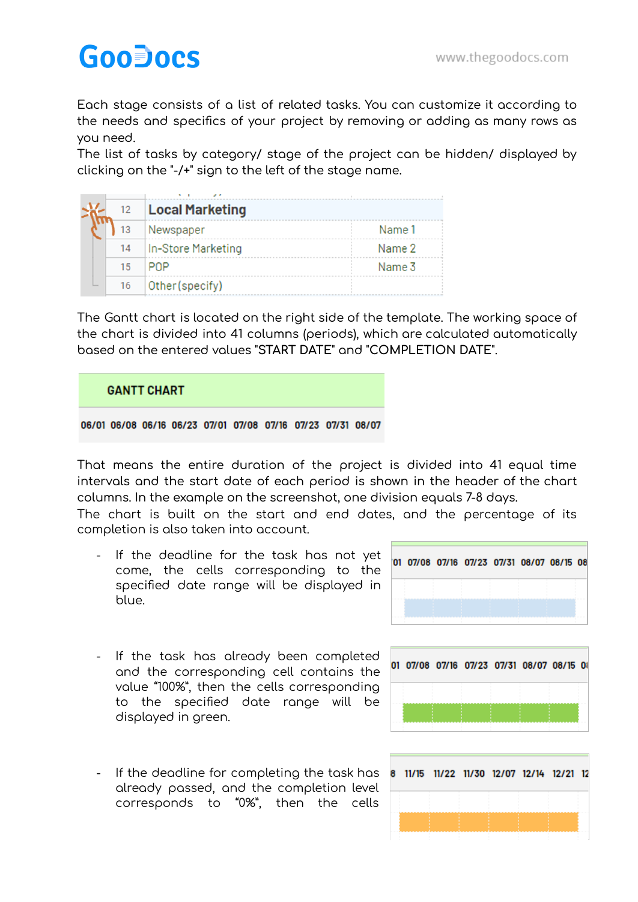## **GooDocs**

Each stage consists of a list of related tasks. You can customize it according to the needs and specifics of your project by removing or adding as many rows as you need.

The list of tasks by category/ stage of the project can be hidden/ displayed by clicking on the "-/+" sign to the left of the stage name.

| 12 | <b>Local Marketing</b> |        |
|----|------------------------|--------|
|    | Newspaper              | Name 1 |
| 14 | In-Store Marketing     | Name 2 |
| 15 | <b>PNP</b>             | Name 3 |
| 16 | Other (specify)        |        |

The Gantt chart is located on the right side of the template. The working space of the chart is divided into 41 columns (periods), which are calculated automatically based on the entered values "**START DATE**" and "**COMPLETION DATE**".

### **GANTT CHART**

#### 06/01 06/08 06/16 06/23 07/01 07/08 07/16 07/23 07/31 08/07

That means the entire duration of the project is divided into 41 equal time intervals and the start date of each period is shown in the header of the chart columns. In the example on the screenshot, one division equals 7-8 days.

The chart is built on the start and end dates, and the percentage of its completion is also taken into account.

- If the deadline for the task has not yet come, the cells corresponding to the specified date range will be displayed in blue.
- 01 07/08 07/16 07/23 07/31 08/07 08/15 08
- If the task has already been completed and the corresponding cell contains the value "100%", then the cells corresponding to the specified date range will be displayed in green.
- If the deadline for completing the task has already passed, and the completion level corresponds to "0%", then the cells

|  |  | 01 07/08 07/16 07/23 07/31 08/07 08/15 08 |  |
|--|--|-------------------------------------------|--|
|  |  |                                           |  |
|  |  |                                           |  |